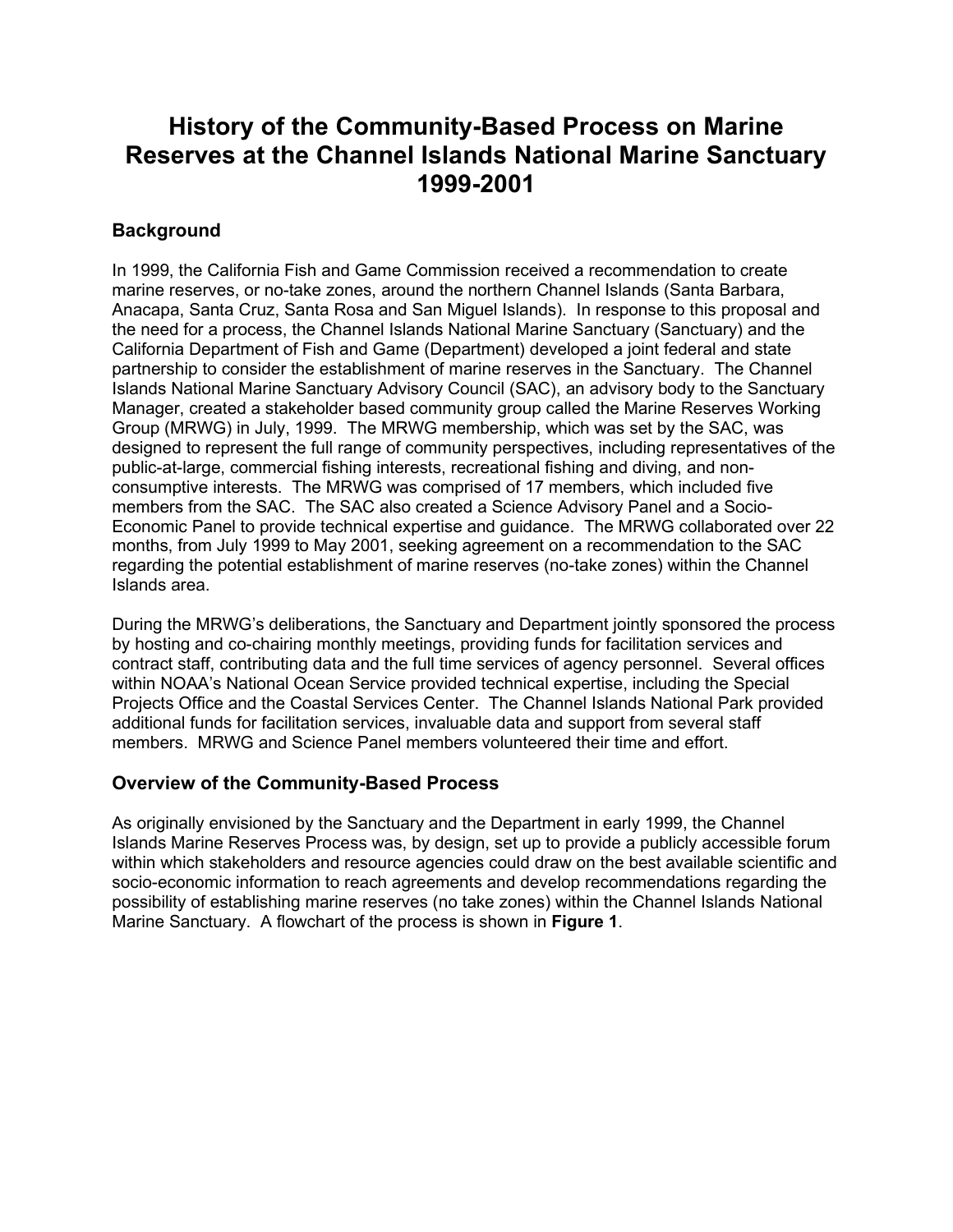# **History of the Community-Based Process on Marine Reserves at the Channel Islands National Marine Sanctuary 1999-2001**

### **Background**

In 1999, the California Fish and Game Commission received a recommendation to create marine reserves, or no-take zones, around the northern Channel Islands (Santa Barbara, Anacapa, Santa Cruz, Santa Rosa and San Miguel Islands). In response to this proposal and the need for a process, the Channel Islands National Marine Sanctuary (Sanctuary) and the California Department of Fish and Game (Department) developed a joint federal and state partnership to consider the establishment of marine reserves in the Sanctuary. The Channel Islands National Marine Sanctuary Advisory Council (SAC), an advisory body to the Sanctuary Manager, created a stakeholder based community group called the Marine Reserves Working Group (MRWG) in July, 1999. The MRWG membership, which was set by the SAC, was designed to represent the full range of community perspectives, including representatives of the public-at-large, commercial fishing interests, recreational fishing and diving, and nonconsumptive interests. The MRWG was comprised of 17 members, which included five members from the SAC. The SAC also created a Science Advisory Panel and a Socio-Economic Panel to provide technical expertise and guidance. The MRWG collaborated over 22 months, from July 1999 to May 2001, seeking agreement on a recommendation to the SAC regarding the potential establishment of marine reserves (no-take zones) within the Channel Islands area.

During the MRWG's deliberations, the Sanctuary and Department jointly sponsored the process by hosting and co-chairing monthly meetings, providing funds for facilitation services and contract staff, contributing data and the full time services of agency personnel. Several offices within NOAA's National Ocean Service provided technical expertise, including the Special Projects Office and the Coastal Services Center. The Channel Islands National Park provided additional funds for facilitation services, invaluable data and support from several staff members. MRWG and Science Panel members volunteered their time and effort.

### **Overview of the Community-Based Process**

As originally envisioned by the Sanctuary and the Department in early 1999, the Channel Islands Marine Reserves Process was, by design, set up to provide a publicly accessible forum within which stakeholders and resource agencies could draw on the best available scientific and socio-economic information to reach agreements and develop recommendations regarding the possibility of establishing marine reserves (no take zones) within the Channel Islands National Marine Sanctuary. A flowchart of the process is shown in **Figure 1**.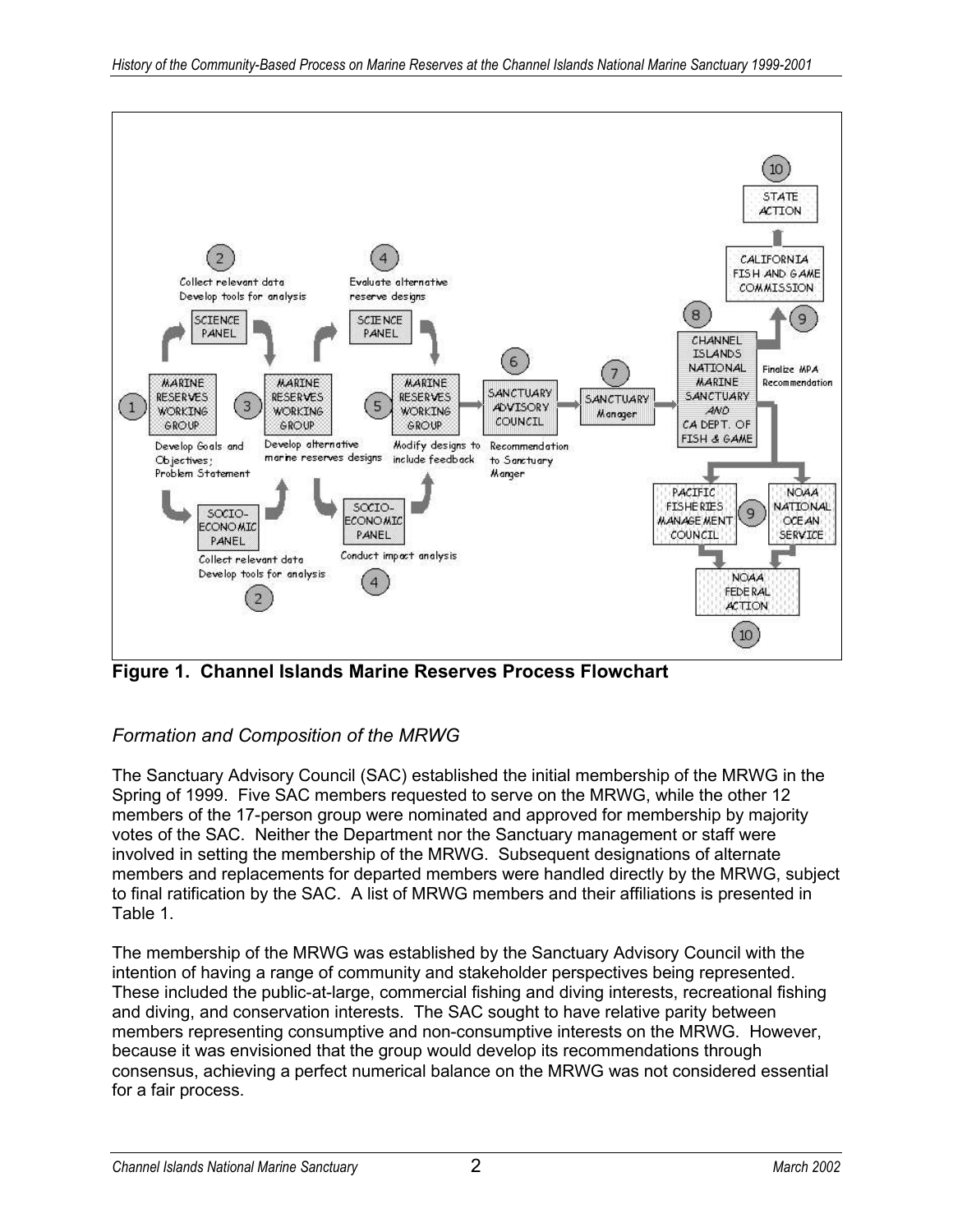

**Figure 1. Channel Islands Marine Reserves Process Flowchart**

## *Formation and Composition of the MRWG*

The Sanctuary Advisory Council (SAC) established the initial membership of the MRWG in the Spring of 1999. Five SAC members requested to serve on the MRWG, while the other 12 members of the 17-person group were nominated and approved for membership by majority votes of the SAC. Neither the Department nor the Sanctuary management or staff were involved in setting the membership of the MRWG. Subsequent designations of alternate members and replacements for departed members were handled directly by the MRWG, subject to final ratification by the SAC. A list of MRWG members and their affiliations is presented in Table 1.

The membership of the MRWG was established by the Sanctuary Advisory Council with the intention of having a range of community and stakeholder perspectives being represented. These included the public-at-large, commercial fishing and diving interests, recreational fishing and diving, and conservation interests. The SAC sought to have relative parity between members representing consumptive and non-consumptive interests on the MRWG. However, because it was envisioned that the group would develop its recommendations through consensus, achieving a perfect numerical balance on the MRWG was not considered essential for a fair process.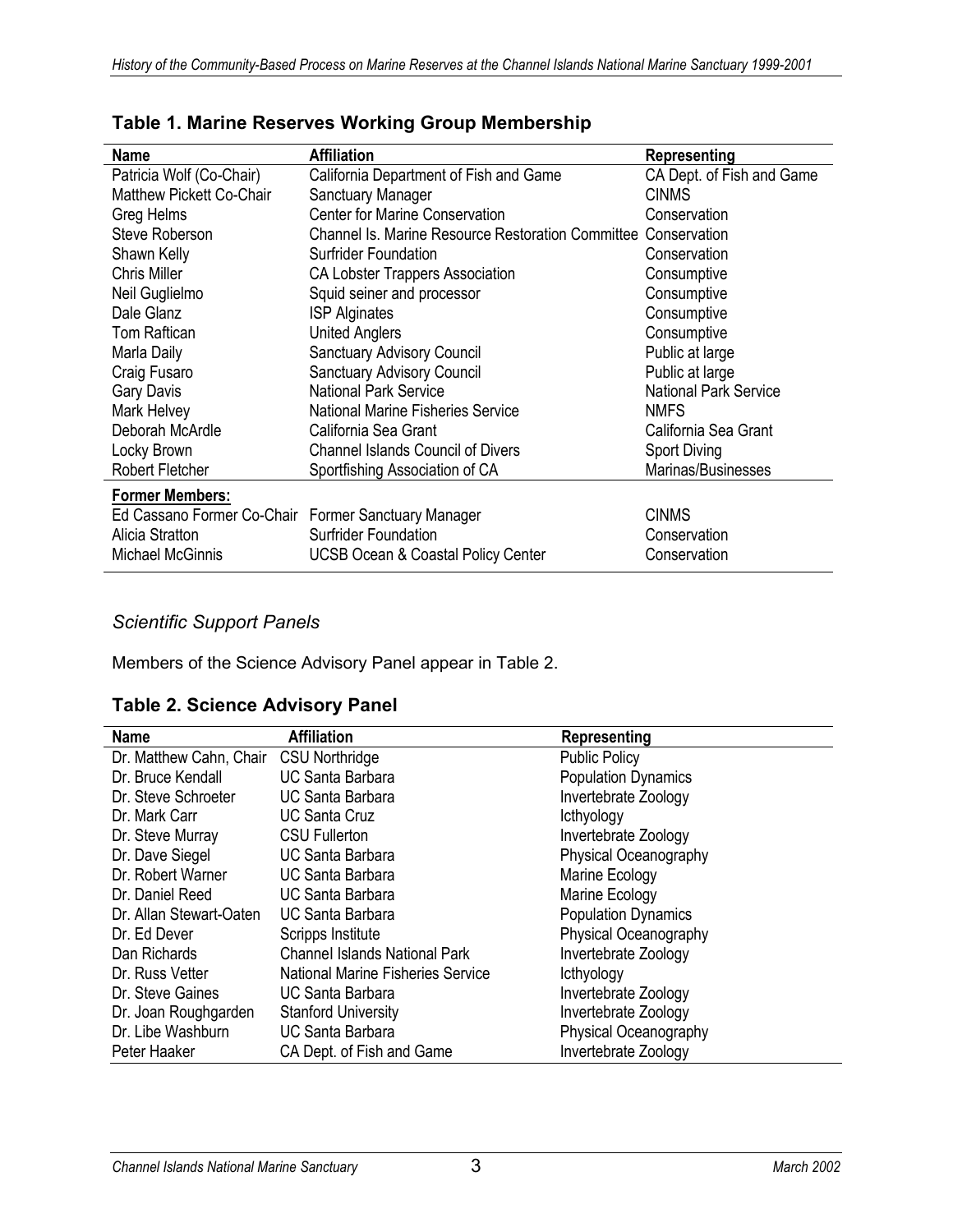| <b>Name</b>                                         | <b>Affiliation</b>                                             | Representing                 |
|-----------------------------------------------------|----------------------------------------------------------------|------------------------------|
| Patricia Wolf (Co-Chair)                            | California Department of Fish and Game                         | CA Dept. of Fish and Game    |
| <b>Matthew Pickett Co-Chair</b>                     | Sanctuary Manager                                              | <b>CINMS</b>                 |
| Greg Helms                                          | <b>Center for Marine Conservation</b>                          | Conservation                 |
| Steve Roberson                                      | Channel Is. Marine Resource Restoration Committee Conservation |                              |
| Shawn Kelly                                         | <b>Surfrider Foundation</b>                                    | Conservation                 |
| <b>Chris Miller</b>                                 | CA Lobster Trappers Association                                | Consumptive                  |
| Neil Guglielmo                                      | Squid seiner and processor                                     | Consumptive                  |
| Dale Glanz                                          | <b>ISP Alginates</b>                                           | Consumptive                  |
| <b>Tom Raftican</b>                                 | <b>United Anglers</b>                                          | Consumptive                  |
| Marla Daily                                         | <b>Sanctuary Advisory Council</b>                              | Public at large              |
| Craig Fusaro                                        | <b>Sanctuary Advisory Council</b>                              | Public at large              |
| <b>Gary Davis</b>                                   | <b>National Park Service</b>                                   | <b>National Park Service</b> |
| Mark Helvey                                         | <b>National Marine Fisheries Service</b>                       | <b>NMFS</b>                  |
| Deborah McArdle                                     | California Sea Grant                                           | California Sea Grant         |
| Locky Brown                                         | <b>Channel Islands Council of Divers</b>                       | <b>Sport Diving</b>          |
| Robert Fletcher                                     | Sportfishing Association of CA                                 | Marinas/Businesses           |
| <b>Former Members:</b>                              |                                                                |                              |
| Ed Cassano Former Co-Chair Former Sanctuary Manager |                                                                | <b>CINMS</b>                 |
| Alicia Stratton                                     | <b>Surfrider Foundation</b>                                    | Conservation                 |
| <b>Michael McGinnis</b>                             | <b>UCSB Ocean &amp; Coastal Policy Center</b>                  | Conservation                 |

**Table 1. Marine Reserves Working Group Membership**

### *Scientific Support Panels*

Members of the Science Advisory Panel appear in Table 2.

|  |  |  | <b>Table 2. Science Advisory Panel</b> |  |
|--|--|--|----------------------------------------|--|
|--|--|--|----------------------------------------|--|

| <b>Name</b>             | <b>Affiliation</b>                       | Representing               |
|-------------------------|------------------------------------------|----------------------------|
| Dr. Matthew Cahn, Chair | <b>CSU Northridge</b>                    | <b>Public Policy</b>       |
| Dr. Bruce Kendall       | <b>UC Santa Barbara</b>                  | <b>Population Dynamics</b> |
| Dr. Steve Schroeter     | <b>UC Santa Barbara</b>                  | Invertebrate Zoology       |
| Dr. Mark Carr           | UC Santa Cruz                            | <b>Icthyology</b>          |
| Dr. Steve Murray        | <b>CSU Fullerton</b>                     | Invertebrate Zoology       |
| Dr. Dave Siegel         | <b>UC Santa Barbara</b>                  | Physical Oceanography      |
| Dr. Robert Warner       | UC Santa Barbara                         | Marine Ecology             |
| Dr. Daniel Reed         | UC Santa Barbara                         | Marine Ecology             |
| Dr. Allan Stewart-Oaten | UC Santa Barbara                         | <b>Population Dynamics</b> |
| Dr. Ed Dever            | Scripps Institute                        | Physical Oceanography      |
| Dan Richards            | <b>Channel Islands National Park</b>     | Invertebrate Zoology       |
| Dr. Russ Vetter         | <b>National Marine Fisheries Service</b> | <b>Icthyology</b>          |
| Dr. Steve Gaines        | UC Santa Barbara                         | Invertebrate Zoology       |
| Dr. Joan Roughgarden    | <b>Stanford University</b>               | Invertebrate Zoology       |
| Dr. Libe Washburn       | UC Santa Barbara                         | Physical Oceanography      |
| Peter Haaker            | CA Dept. of Fish and Game                | Invertebrate Zoology       |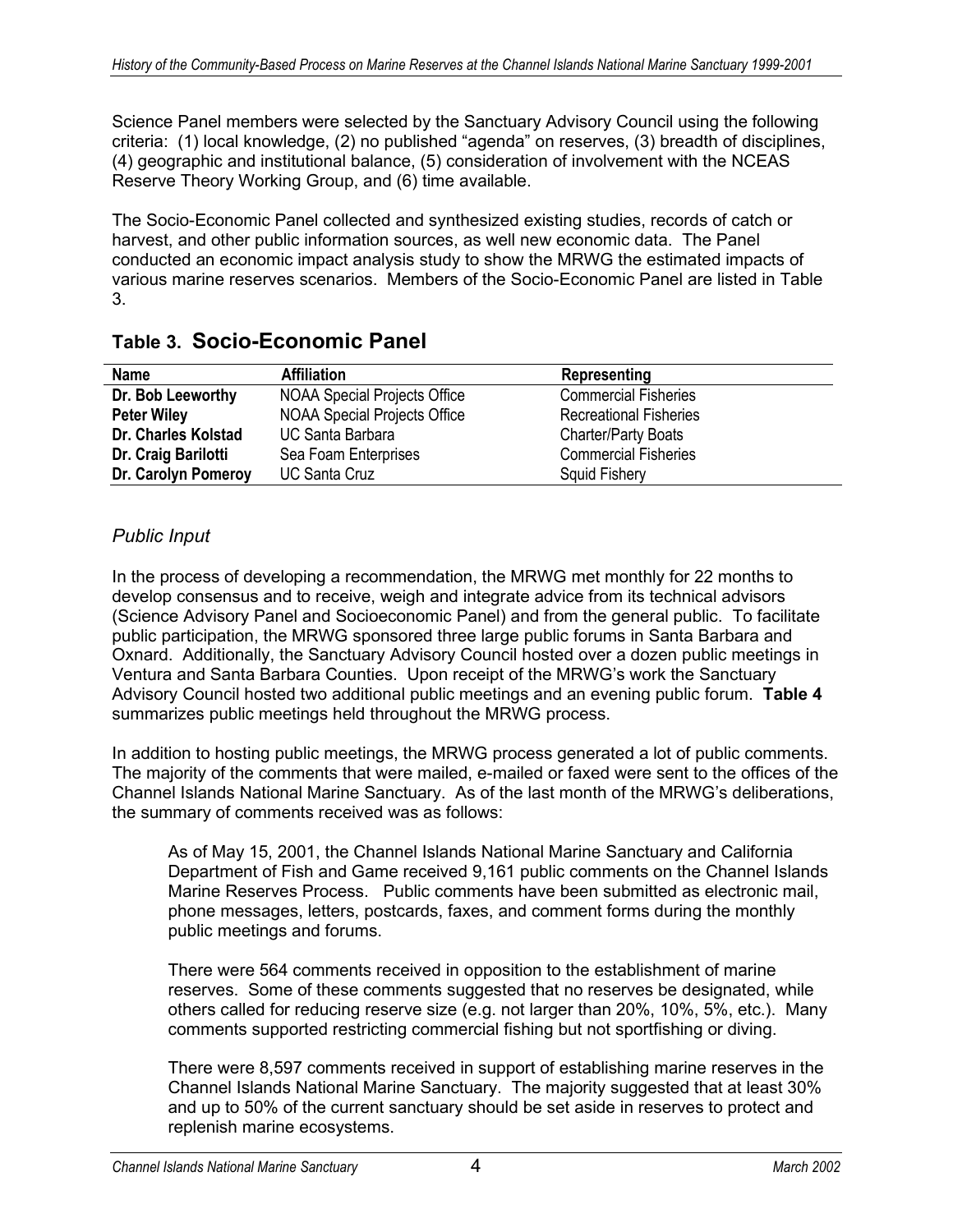Science Panel members were selected by the Sanctuary Advisory Council using the following criteria: (1) local knowledge, (2) no published "agenda" on reserves, (3) breadth of disciplines, (4) geographic and institutional balance, (5) consideration of involvement with the NCEAS Reserve Theory Working Group, and (6) time available.

The Socio-Economic Panel collected and synthesized existing studies, records of catch or harvest, and other public information sources, as well new economic data. The Panel conducted an economic impact analysis study to show the MRWG the estimated impacts of various marine reserves scenarios. Members of the Socio-Economic Panel are listed in Table 3.

| <b>Name</b>         | <b>Affiliation</b>                  | Representing                  |
|---------------------|-------------------------------------|-------------------------------|
| Dr. Bob Leeworthy   | <b>NOAA Special Projects Office</b> | <b>Commercial Fisheries</b>   |
| <b>Peter Wiley</b>  | <b>NOAA Special Projects Office</b> | <b>Recreational Fisheries</b> |
| Dr. Charles Kolstad | <b>UC Santa Barbara</b>             | <b>Charter/Party Boats</b>    |
| Dr. Craig Barilotti | Sea Foam Enterprises                | <b>Commercial Fisheries</b>   |
| Dr. Carolyn Pomeroy | <b>UC Santa Cruz</b>                | <b>Squid Fishery</b>          |

## **Table 3. Socio-Economic Panel**

### *Public Input*

In the process of developing a recommendation, the MRWG met monthly for 22 months to develop consensus and to receive, weigh and integrate advice from its technical advisors (Science Advisory Panel and Socioeconomic Panel) and from the general public. To facilitate public participation, the MRWG sponsored three large public forums in Santa Barbara and Oxnard. Additionally, the Sanctuary Advisory Council hosted over a dozen public meetings in Ventura and Santa Barbara Counties. Upon receipt of the MRWG's work the Sanctuary Advisory Council hosted two additional public meetings and an evening public forum. **Table 4** summarizes public meetings held throughout the MRWG process.

In addition to hosting public meetings, the MRWG process generated a lot of public comments. The majority of the comments that were mailed, e-mailed or faxed were sent to the offices of the Channel Islands National Marine Sanctuary. As of the last month of the MRWG's deliberations, the summary of comments received was as follows:

As of May 15, 2001, the Channel Islands National Marine Sanctuary and California Department of Fish and Game received 9,161 public comments on the Channel Islands Marine Reserves Process. Public comments have been submitted as electronic mail, phone messages, letters, postcards, faxes, and comment forms during the monthly public meetings and forums.

There were 564 comments received in opposition to the establishment of marine reserves. Some of these comments suggested that no reserves be designated, while others called for reducing reserve size (e.g. not larger than 20%, 10%, 5%, etc.). Many comments supported restricting commercial fishing but not sportfishing or diving.

There were 8,597 comments received in support of establishing marine reserves in the Channel Islands National Marine Sanctuary. The majority suggested that at least 30% and up to 50% of the current sanctuary should be set aside in reserves to protect and replenish marine ecosystems.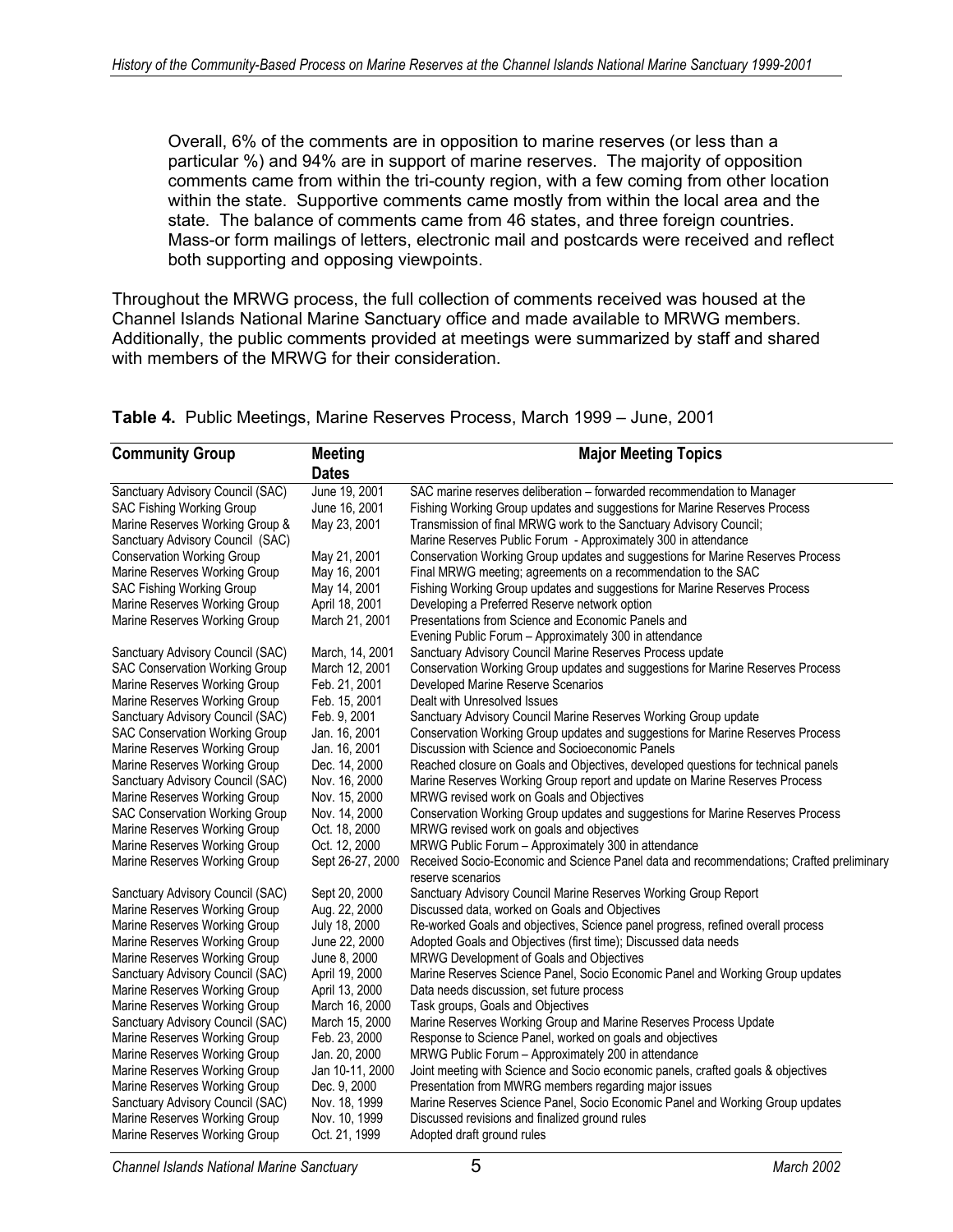Overall, 6% of the comments are in opposition to marine reserves (or less than a particular %) and 94% are in support of marine reserves. The majority of opposition comments came from within the tri-county region, with a few coming from other location within the state. Supportive comments came mostly from within the local area and the state. The balance of comments came from 46 states, and three foreign countries. Mass-or form mailings of letters, electronic mail and postcards were received and reflect both supporting and opposing viewpoints.

Throughout the MRWG process, the full collection of comments received was housed at the Channel Islands National Marine Sanctuary office and made available to MRWG members. Additionally, the public comments provided at meetings were summarized by staff and shared with members of the MRWG for their consideration.

| <b>Community Group</b>                | <b>Meeting</b>   | <b>Major Meeting Topics</b>                                                                                  |
|---------------------------------------|------------------|--------------------------------------------------------------------------------------------------------------|
|                                       | <b>Dates</b>     |                                                                                                              |
| Sanctuary Advisory Council (SAC)      | June 19, 2001    | SAC marine reserves deliberation - forwarded recommendation to Manager                                       |
| SAC Fishing Working Group             | June 16, 2001    | Fishing Working Group updates and suggestions for Marine Reserves Process                                    |
| Marine Reserves Working Group &       | May 23, 2001     | Transmission of final MRWG work to the Sanctuary Advisory Council;                                           |
| Sanctuary Advisory Council (SAC)      |                  | Marine Reserves Public Forum - Approximately 300 in attendance                                               |
| <b>Conservation Working Group</b>     | May 21, 2001     | Conservation Working Group updates and suggestions for Marine Reserves Process                               |
| Marine Reserves Working Group         | May 16, 2001     | Final MRWG meeting; agreements on a recommendation to the SAC                                                |
| <b>SAC Fishing Working Group</b>      | May 14, 2001     | Fishing Working Group updates and suggestions for Marine Reserves Process                                    |
| Marine Reserves Working Group         | April 18, 2001   | Developing a Preferred Reserve network option                                                                |
| Marine Reserves Working Group         | March 21, 2001   | Presentations from Science and Economic Panels and                                                           |
|                                       |                  | Evening Public Forum - Approximately 300 in attendance                                                       |
| Sanctuary Advisory Council (SAC)      | March, 14, 2001  | Sanctuary Advisory Council Marine Reserves Process update                                                    |
| <b>SAC Conservation Working Group</b> | March 12, 2001   | Conservation Working Group updates and suggestions for Marine Reserves Process                               |
| Marine Reserves Working Group         | Feb. 21, 2001    | Developed Marine Reserve Scenarios                                                                           |
| Marine Reserves Working Group         | Feb. 15, 2001    | Dealt with Unresolved Issues                                                                                 |
| Sanctuary Advisory Council (SAC)      | Feb. 9, 2001     | Sanctuary Advisory Council Marine Reserves Working Group update                                              |
| <b>SAC Conservation Working Group</b> | Jan. 16, 2001    | Conservation Working Group updates and suggestions for Marine Reserves Process                               |
| Marine Reserves Working Group         | Jan. 16, 2001    | Discussion with Science and Socioeconomic Panels                                                             |
| Marine Reserves Working Group         | Dec. 14, 2000    | Reached closure on Goals and Objectives, developed questions for technical panels                            |
| Sanctuary Advisory Council (SAC)      | Nov. 16, 2000    | Marine Reserves Working Group report and update on Marine Reserves Process                                   |
| Marine Reserves Working Group         | Nov. 15, 2000    | MRWG revised work on Goals and Objectives                                                                    |
| SAC Conservation Working Group        | Nov. 14, 2000    | Conservation Working Group updates and suggestions for Marine Reserves Process                               |
| Marine Reserves Working Group         | Oct. 18, 2000    | MRWG revised work on goals and objectives                                                                    |
| Marine Reserves Working Group         | Oct. 12, 2000    | MRWG Public Forum - Approximately 300 in attendance                                                          |
| Marine Reserves Working Group         | Sept 26-27, 2000 | Received Socio-Economic and Science Panel data and recommendations; Crafted preliminary<br>reserve scenarios |
| Sanctuary Advisory Council (SAC)      | Sept 20, 2000    | Sanctuary Advisory Council Marine Reserves Working Group Report                                              |
| Marine Reserves Working Group         | Aug. 22, 2000    | Discussed data, worked on Goals and Objectives                                                               |
| Marine Reserves Working Group         | July 18, 2000    | Re-worked Goals and objectives, Science panel progress, refined overall process                              |
| Marine Reserves Working Group         | June 22, 2000    | Adopted Goals and Objectives (first time); Discussed data needs                                              |
| Marine Reserves Working Group         | June 8, 2000     | MRWG Development of Goals and Objectives                                                                     |
| Sanctuary Advisory Council (SAC)      | April 19, 2000   | Marine Reserves Science Panel, Socio Economic Panel and Working Group updates                                |
| Marine Reserves Working Group         | April 13, 2000   | Data needs discussion, set future process                                                                    |
| Marine Reserves Working Group         | March 16, 2000   | Task groups, Goals and Objectives                                                                            |
| Sanctuary Advisory Council (SAC)      | March 15, 2000   | Marine Reserves Working Group and Marine Reserves Process Update                                             |
| Marine Reserves Working Group         | Feb. 23, 2000    | Response to Science Panel, worked on goals and objectives                                                    |
| Marine Reserves Working Group         | Jan. 20, 2000    | MRWG Public Forum - Approximately 200 in attendance                                                          |
| Marine Reserves Working Group         | Jan 10-11, 2000  | Joint meeting with Science and Socio economic panels, crafted goals & objectives                             |
| Marine Reserves Working Group         | Dec. 9, 2000     | Presentation from MWRG members regarding major issues                                                        |
| Sanctuary Advisory Council (SAC)      | Nov. 18, 1999    | Marine Reserves Science Panel, Socio Economic Panel and Working Group updates                                |
| Marine Reserves Working Group         | Nov. 10, 1999    | Discussed revisions and finalized ground rules                                                               |
| Marine Reserves Working Group         | Oct. 21, 1999    | Adopted draft ground rules                                                                                   |

#### **Table 4.** Public Meetings, Marine Reserves Process, March 1999 – June, 2001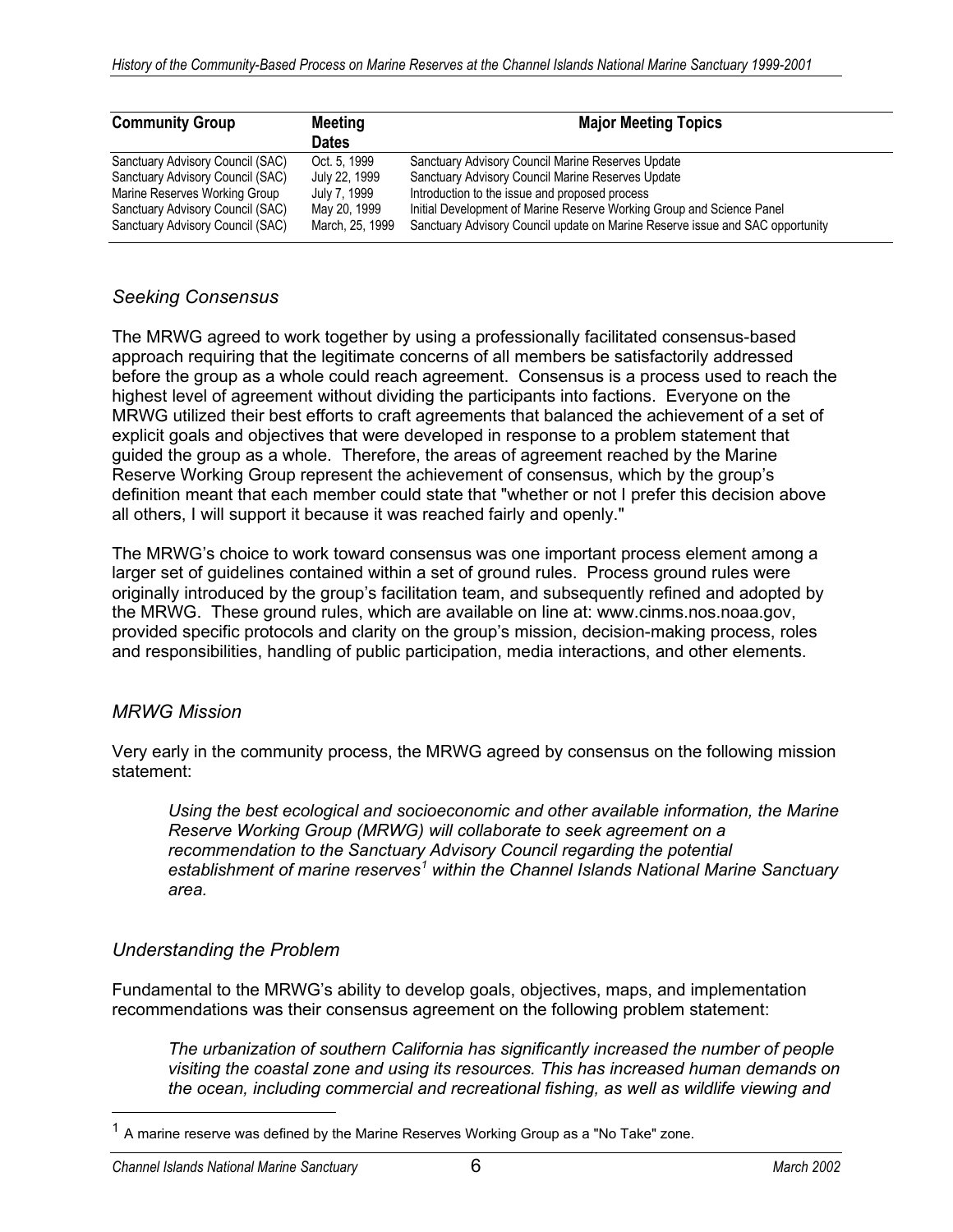| <b>Community Group</b>           | <b>Meeting</b><br><b>Dates</b> | <b>Major Meeting Topics</b>                                                   |
|----------------------------------|--------------------------------|-------------------------------------------------------------------------------|
| Sanctuary Advisory Council (SAC) | Oct. 5, 1999                   | Sanctuary Advisory Council Marine Reserves Update                             |
| Sanctuary Advisory Council (SAC) | July 22, 1999                  | Sanctuary Advisory Council Marine Reserves Update                             |
| Marine Reserves Working Group    | July 7, 1999                   | Introduction to the issue and proposed process                                |
| Sanctuary Advisory Council (SAC) | May 20, 1999                   | Initial Development of Marine Reserve Working Group and Science Panel         |
| Sanctuary Advisory Council (SAC) | March, 25, 1999                | Sanctuary Advisory Council update on Marine Reserve issue and SAC opportunity |

### *Seeking Consensus*

The MRWG agreed to work together by using a professionally facilitated consensus-based approach requiring that the legitimate concerns of all members be satisfactorily addressed before the group as a whole could reach agreement. Consensus is a process used to reach the highest level of agreement without dividing the participants into factions. Everyone on the MRWG utilized their best efforts to craft agreements that balanced the achievement of a set of explicit goals and objectives that were developed in response to a problem statement that guided the group as a whole. Therefore, the areas of agreement reached by the Marine Reserve Working Group represent the achievement of consensus, which by the group's definition meant that each member could state that "whether or not I prefer this decision above all others, I will support it because it was reached fairly and openly."

The MRWG's choice to work toward consensus was one important process element among a larger set of guidelines contained within a set of ground rules. Process ground rules were originally introduced by the group's facilitation team, and subsequently refined and adopted by the MRWG. These ground rules, which are available on line at: www.cinms.nos.noaa.gov, provided specific protocols and clarity on the group's mission, decision-making process, roles and responsibilities, handling of public participation, media interactions, and other elements.

### *MRWG Mission*

Very early in the community process, the MRWG agreed by consensus on the following mission statement:

*Using the best ecological and socioeconomic and other available information, the Marine Reserve Working Group (MRWG) will collaborate to seek agreement on a recommendation to the Sanctuary Advisory Council regarding the potential establishment of marine reserves[1](#page-5-0) within the Channel Islands National Marine Sanctuary area.*

### *Understanding the Problem*

Fundamental to the MRWG's ability to develop goals, objectives, maps, and implementation recommendations was their consensus agreement on the following problem statement:

*The urbanization of southern California has significantly increased the number of people visiting the coastal zone and using its resources. This has increased human demands on the ocean, including commercial and recreational fishing, as well as wildlife viewing and* 

<span id="page-5-0"></span> $1$  A marine reserve was defined by the Marine Reserves Working Group as a "No Take" zone.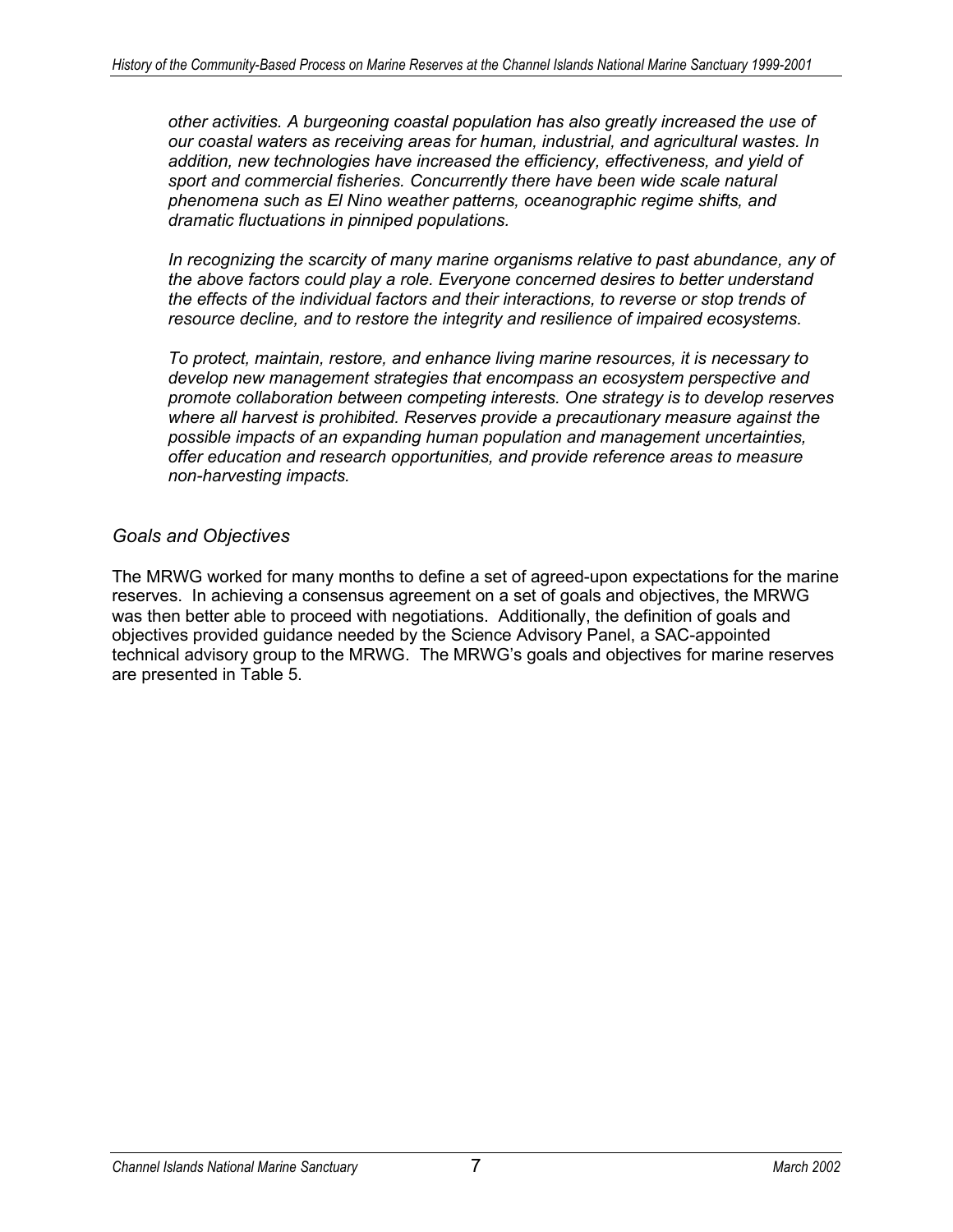*other activities. A burgeoning coastal population has also greatly increased the use of our coastal waters as receiving areas for human, industrial, and agricultural wastes. In addition, new technologies have increased the efficiency, effectiveness, and yield of sport and commercial fisheries. Concurrently there have been wide scale natural phenomena such as El Nino weather patterns, oceanographic regime shifts, and dramatic fluctuations in pinniped populations.*

*In recognizing the scarcity of many marine organisms relative to past abundance, any of the above factors could play a role. Everyone concerned desires to better understand the effects of the individual factors and their interactions, to reverse or stop trends of resource decline, and to restore the integrity and resilience of impaired ecosystems.*

*To protect, maintain, restore, and enhance living marine resources, it is necessary to develop new management strategies that encompass an ecosystem perspective and promote collaboration between competing interests. One strategy is to develop reserves where all harvest is prohibited. Reserves provide a precautionary measure against the possible impacts of an expanding human population and management uncertainties, offer education and research opportunities, and provide reference areas to measure non-harvesting impacts.*

### *Goals and Objectives*

The MRWG worked for many months to define a set of agreed-upon expectations for the marine reserves. In achieving a consensus agreement on a set of goals and objectives, the MRWG was then better able to proceed with negotiations. Additionally, the definition of goals and objectives provided guidance needed by the Science Advisory Panel, a SAC-appointed technical advisory group to the MRWG. The MRWG's goals and objectives for marine reserves are presented in Table 5.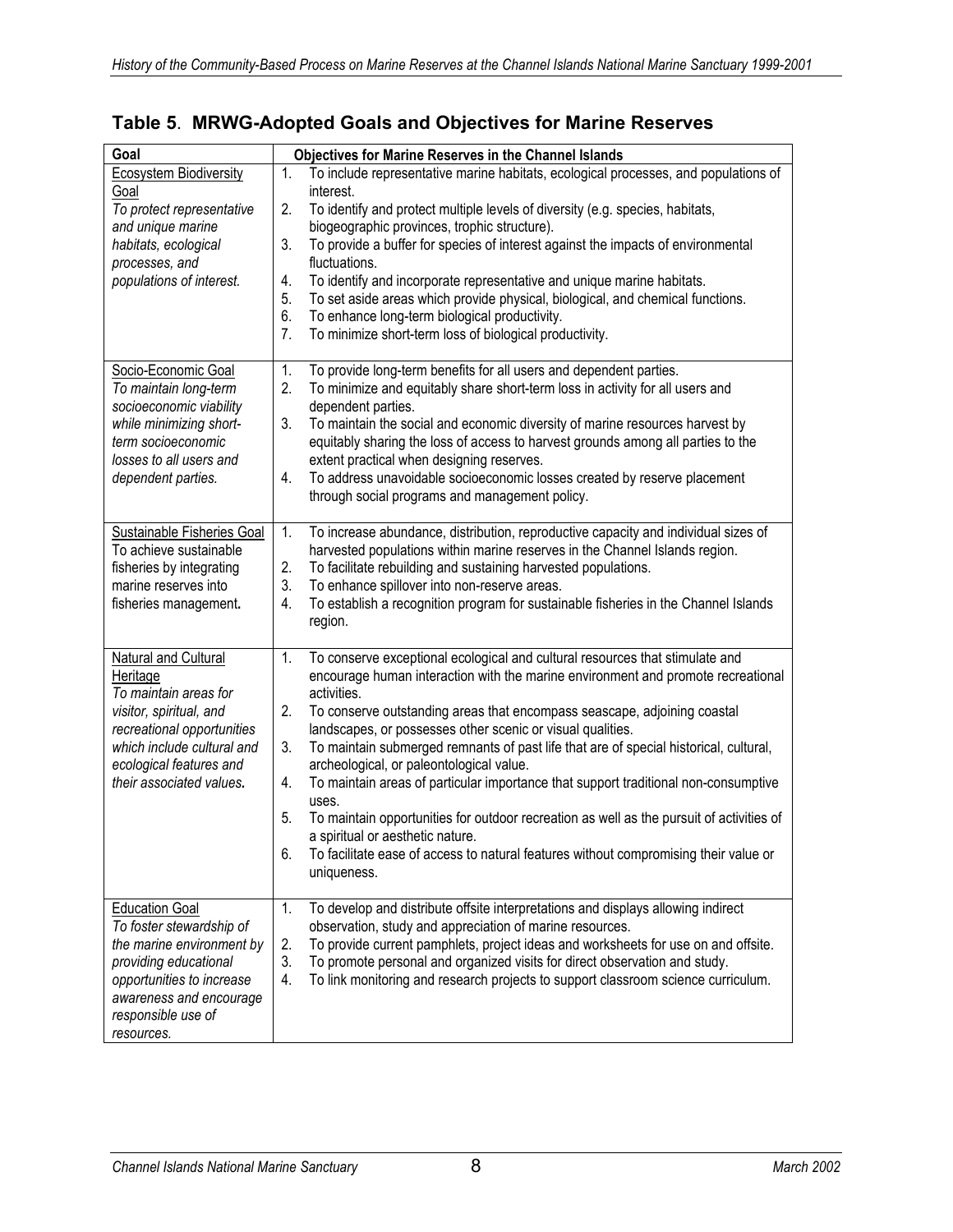| Goal                              | <b>Objectives for Marine Reserves in the Channel Islands</b>                                   |
|-----------------------------------|------------------------------------------------------------------------------------------------|
| <b>Ecosystem Biodiversity</b>     | 1.<br>To include representative marine habitats, ecological processes, and populations of      |
| Goal                              | interest.                                                                                      |
| To protect representative         | 2.<br>To identify and protect multiple levels of diversity (e.g. species, habitats,            |
| and unique marine                 | biogeographic provinces, trophic structure).                                                   |
| habitats, ecological              | To provide a buffer for species of interest against the impacts of environmental<br>3.         |
| processes, and                    | fluctuations.                                                                                  |
| populations of interest.          | To identify and incorporate representative and unique marine habitats.<br>4.                   |
|                                   | To set aside areas which provide physical, biological, and chemical functions.<br>5.           |
|                                   | 6.<br>To enhance long-term biological productivity.                                            |
|                                   | 7.<br>To minimize short-term loss of biological productivity.                                  |
|                                   |                                                                                                |
| Socio-Economic Goal               | To provide long-term benefits for all users and dependent parties.<br>1.                       |
| To maintain long-term             | 2.<br>To minimize and equitably share short-term loss in activity for all users and            |
| socioeconomic viability           | dependent parties.                                                                             |
| while minimizing short-           | 3.<br>To maintain the social and economic diversity of marine resources harvest by             |
| term socioeconomic                | equitably sharing the loss of access to harvest grounds among all parties to the               |
| losses to all users and           | extent practical when designing reserves.                                                      |
| dependent parties.                | To address unavoidable socioeconomic losses created by reserve placement<br>4.                 |
|                                   | through social programs and management policy.                                                 |
|                                   |                                                                                                |
| <b>Sustainable Fisheries Goal</b> | To increase abundance, distribution, reproductive capacity and individual sizes of<br>1.       |
| To achieve sustainable            | harvested populations within marine reserves in the Channel Islands region.                    |
| fisheries by integrating          | 2.<br>To facilitate rebuilding and sustaining harvested populations.<br>3.                     |
| marine reserves into              | To enhance spillover into non-reserve areas.                                                   |
| fisheries management.             | 4.<br>To establish a recognition program for sustainable fisheries in the Channel Islands      |
|                                   | region.                                                                                        |
| Natural and Cultural              | To conserve exceptional ecological and cultural resources that stimulate and<br>1.             |
| Heritage                          | encourage human interaction with the marine environment and promote recreational               |
| To maintain areas for             | activities.                                                                                    |
| visitor, spiritual, and           | 2.<br>To conserve outstanding areas that encompass seascape, adjoining coastal                 |
| recreational opportunities        | landscapes, or possesses other scenic or visual qualities.                                     |
| which include cultural and        | 3.<br>To maintain submerged remnants of past life that are of special historical, cultural,    |
| ecological features and           | archeological, or paleontological value.                                                       |
| their associated values.          | To maintain areas of particular importance that support traditional non-consumptive<br>4.      |
|                                   | uses.                                                                                          |
|                                   | To maintain opportunities for outdoor recreation as well as the pursuit of activities of<br>5. |
|                                   | a spiritual or aesthetic nature.                                                               |
|                                   | To facilitate ease of access to natural features without compromising their value or<br>6.     |
|                                   | uniqueness.                                                                                    |
|                                   |                                                                                                |
| <b>Education Goal</b>             | To develop and distribute offsite interpretations and displays allowing indirect<br>1.         |
| To foster stewardship of          | observation, study and appreciation of marine resources.                                       |
| the marine environment by         | To provide current pamphlets, project ideas and worksheets for use on and offsite.<br>2.       |
| providing educational             | 3.<br>To promote personal and organized visits for direct observation and study.               |
| opportunities to increase         | To link monitoring and research projects to support classroom science curriculum.<br>4.        |
| awareness and encourage           |                                                                                                |
| responsible use of                |                                                                                                |
| resources.                        |                                                                                                |

## **Table 5**. **MRWG-Adopted Goals and Objectives for Marine Reserves**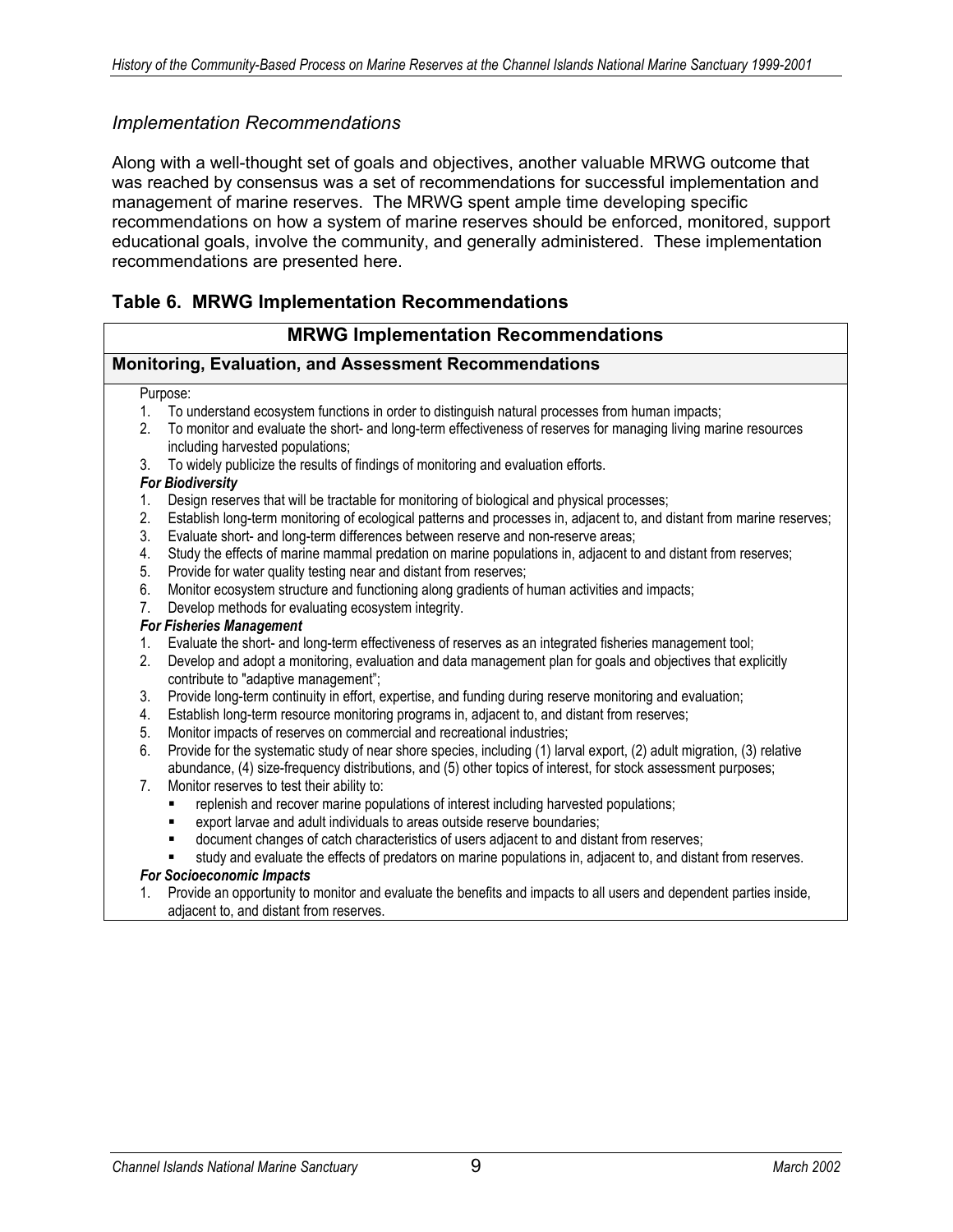### *Implementation Recommendations*

Along with a well-thought set of goals and objectives, another valuable MRWG outcome that was reached by consensus was a set of recommendations for successful implementation and management of marine reserves. The MRWG spent ample time developing specific recommendations on how a system of marine reserves should be enforced, monitored, support educational goals, involve the community, and generally administered. These implementation recommendations are presented here.

### **Table 6. MRWG Implementation Recommendations**

#### **MRWG Implementation Recommendations Monitoring, Evaluation, and Assessment Recommendations** Purpose: 1. To understand ecosystem functions in order to distinguish natural processes from human impacts; 2. To monitor and evaluate the short- and long-term effectiveness of reserves for managing living marine resources including harvested populations; 3. To widely publicize the results of findings of monitoring and evaluation efforts. *For Biodiversity*  1. Design reserves that will be tractable for monitoring of biological and physical processes; 2. Establish long-term monitoring of ecological patterns and processes in, adjacent to, and distant from marine reserves; 3. Evaluate short- and long-term differences between reserve and non-reserve areas; 4. Study the effects of marine mammal predation on marine populations in, adjacent to and distant from reserves; 5. Provide for water quality testing near and distant from reserves; 6. Monitor ecosystem structure and functioning along gradients of human activities and impacts; 7. Develop methods for evaluating ecosystem integrity. *For Fisheries Management*  1. Evaluate the short- and long-term effectiveness of reserves as an integrated fisheries management tool; 2. Develop and adopt a monitoring, evaluation and data management plan for goals and objectives that explicitly contribute to "adaptive management"; 3. Provide long-term continuity in effort, expertise, and funding during reserve monitoring and evaluation; 4. Establish long-term resource monitoring programs in, adjacent to, and distant from reserves; 5. Monitor impacts of reserves on commercial and recreational industries; 6. Provide for the systematic study of near shore species, including (1) larval export, (2) adult migration, (3) relative abundance, (4) size-frequency distributions, and (5) other topics of interest, for stock assessment purposes; 7. Monitor reserves to test their ability to: **Fighter 1** replenish and recover marine populations of interest including harvested populations; ■ export larvae and adult individuals to areas outside reserve boundaries;<br>■ document changes of catch characteristics of users adjacent to and dista document changes of catch characteristics of users adjacent to and distant from reserves; study and evaluate the effects of predators on marine populations in, adjacent to, and distant from reserves. *For Socioeconomic Impacts* 1. Provide an opportunity to monitor and evaluate the benefits and impacts to all users and dependent parties inside, adjacent to, and distant from reserves.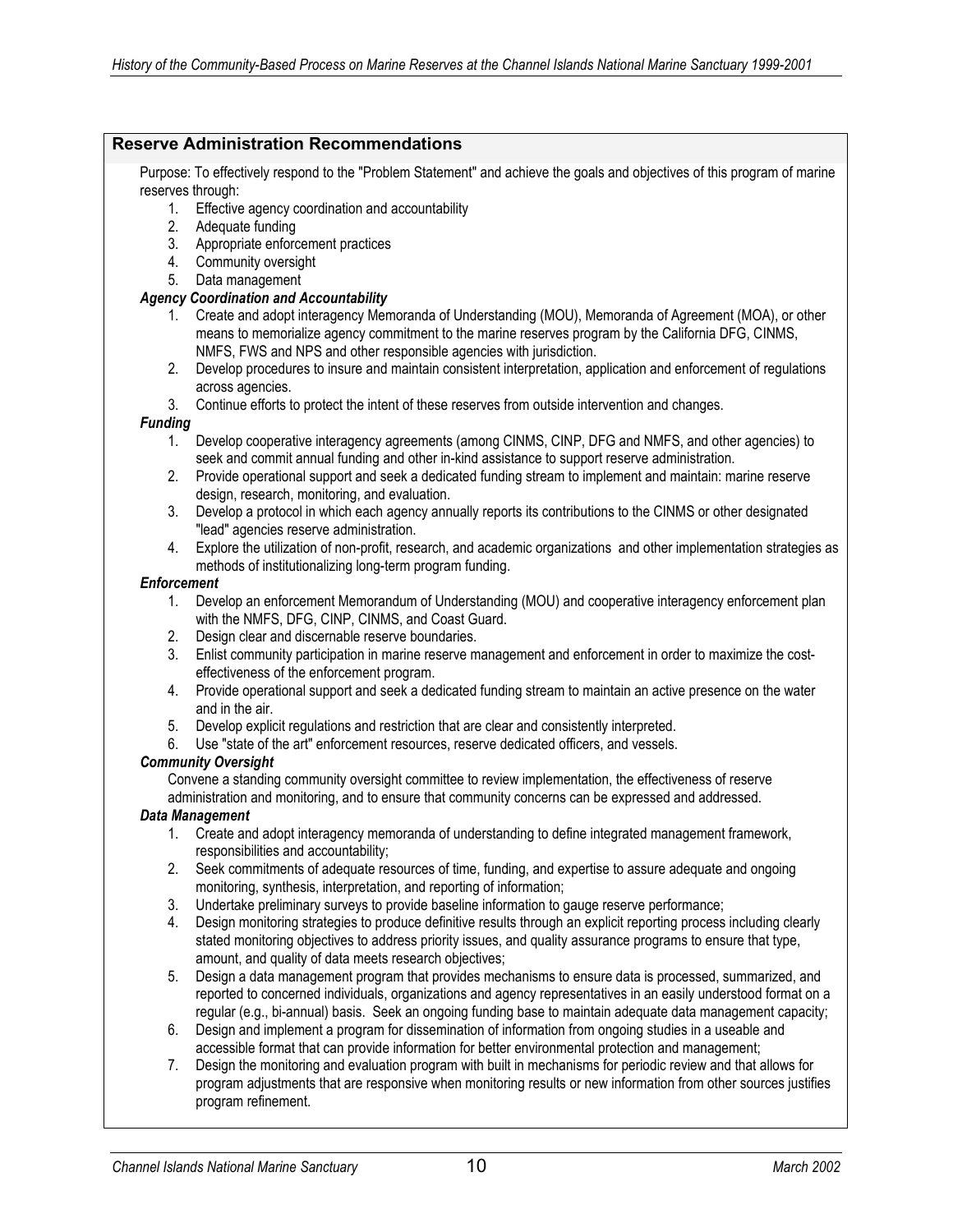#### **Reserve Administration Recommendations**

Purpose: To effectively respond to the "Problem Statement" and achieve the goals and objectives of this program of marine reserves through:

- 1. Effective agency coordination and accountability
- 2. Adequate funding
- 3. Appropriate enforcement practices
- 4. Community oversight
- 5. Data management

#### *Agency Coordination and Accountability*

- 1. Create and adopt interagency Memoranda of Understanding (MOU), Memoranda of Agreement (MOA), or other means to memorialize agency commitment to the marine reserves program by the California DFG, CINMS, NMFS, FWS and NPS and other responsible agencies with jurisdiction.
- 2. Develop procedures to insure and maintain consistent interpretation, application and enforcement of regulations across agencies.
- 3. Continue efforts to protect the intent of these reserves from outside intervention and changes.

#### *Funding*

- 1. Develop cooperative interagency agreements (among CINMS, CINP, DFG and NMFS, and other agencies) to seek and commit annual funding and other in-kind assistance to support reserve administration.
- 2. Provide operational support and seek a dedicated funding stream to implement and maintain: marine reserve design, research, monitoring, and evaluation.
- 3. Develop a protocol in which each agency annually reports its contributions to the CINMS or other designated "lead" agencies reserve administration.
- 4. Explore the utilization of non-profit, research, and academic organizations and other implementation strategies as methods of institutionalizing long-term program funding.

#### *Enforcement*

- 1. Develop an enforcement Memorandum of Understanding (MOU) and cooperative interagency enforcement plan with the NMFS, DFG, CINP, CINMS, and Coast Guard.
- 2. Design clear and discernable reserve boundaries.
- 3. Enlist community participation in marine reserve management and enforcement in order to maximize the costeffectiveness of the enforcement program.
- 4. Provide operational support and seek a dedicated funding stream to maintain an active presence on the water and in the air.
- 5. Develop explicit regulations and restriction that are clear and consistently interpreted.
- 6. Use "state of the art" enforcement resources, reserve dedicated officers, and vessels.

#### *Community Oversight*

Convene a standing community oversight committee to review implementation, the effectiveness of reserve administration and monitoring, and to ensure that community concerns can be expressed and addressed.

#### *Data Management*

- 1. Create and adopt interagency memoranda of understanding to define integrated management framework, responsibilities and accountability;
- 2. Seek commitments of adequate resources of time, funding, and expertise to assure adequate and ongoing monitoring, synthesis, interpretation, and reporting of information;
- 3. Undertake preliminary surveys to provide baseline information to gauge reserve performance;
- 4. Design monitoring strategies to produce definitive results through an explicit reporting process including clearly stated monitoring objectives to address priority issues, and quality assurance programs to ensure that type, amount, and quality of data meets research objectives;
- 5. Design a data management program that provides mechanisms to ensure data is processed, summarized, and reported to concerned individuals, organizations and agency representatives in an easily understood format on a regular (e.g., bi-annual) basis. Seek an ongoing funding base to maintain adequate data management capacity;
- 6. Design and implement a program for dissemination of information from ongoing studies in a useable and accessible format that can provide information for better environmental protection and management;
- 7. Design the monitoring and evaluation program with built in mechanisms for periodic review and that allows for program adjustments that are responsive when monitoring results or new information from other sources justifies program refinement.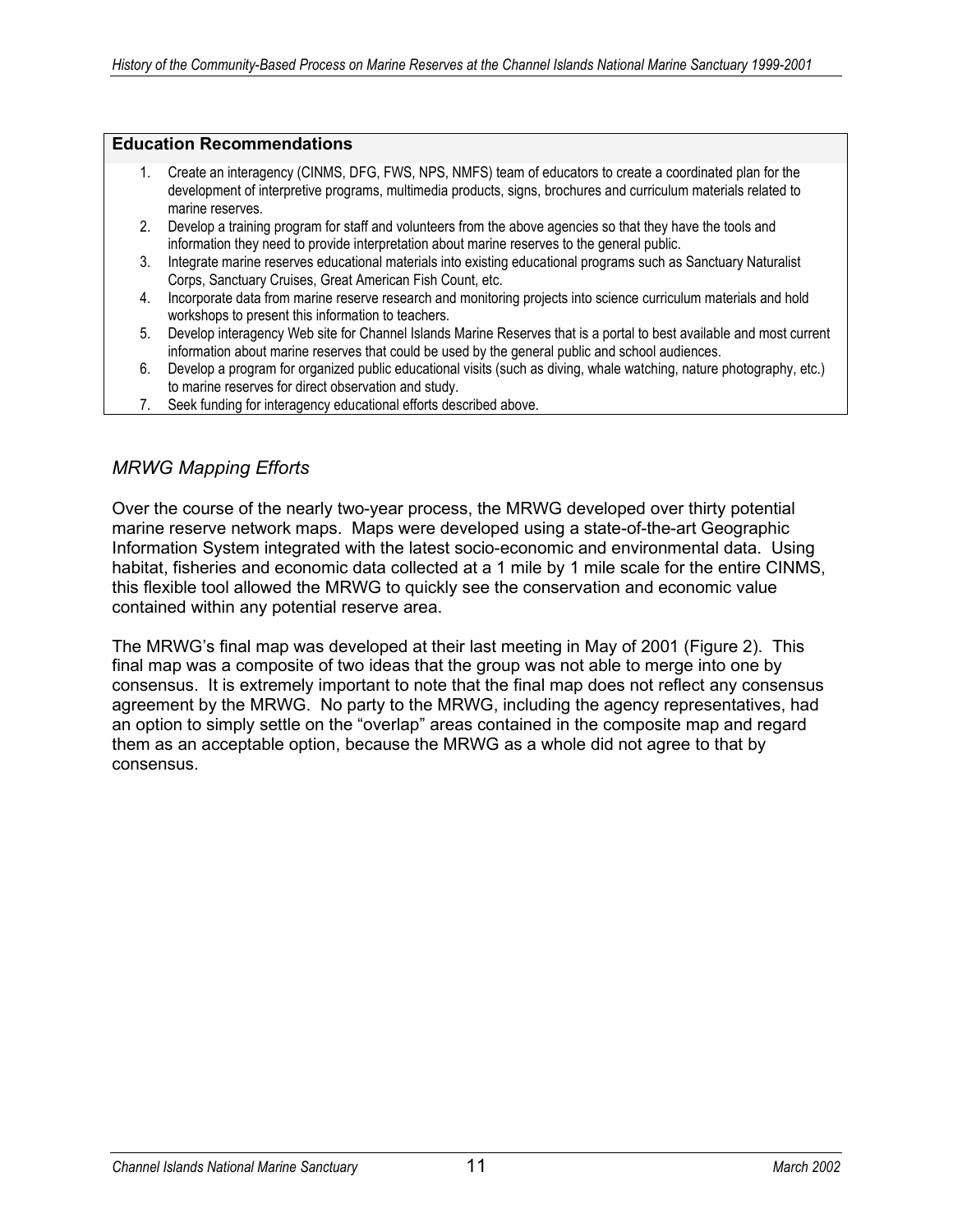#### **Education Recommendations**

- 1. Create an interagency (CINMS, DFG, FWS, NPS, NMFS) team of educators to create a coordinated plan for the development of interpretive programs, multimedia products, signs, brochures and curriculum materials related to marine reserves.
- 2. Develop a training program for staff and volunteers from the above agencies so that they have the tools and information they need to provide interpretation about marine reserves to the general public.
- 3. Integrate marine reserves educational materials into existing educational programs such as Sanctuary Naturalist Corps, Sanctuary Cruises, Great American Fish Count, etc.
- 4. Incorporate data from marine reserve research and monitoring projects into science curriculum materials and hold workshops to present this information to teachers.
- 5. Develop interagency Web site for Channel Islands Marine Reserves that is a portal to best available and most current information about marine reserves that could be used by the general public and school audiences.
- 6. Develop a program for organized public educational visits (such as diving, whale watching, nature photography, etc.) to marine reserves for direct observation and study.
- 7. Seek funding for interagency educational efforts described above.

### *MRWG Mapping Efforts*

Over the course of the nearly two-year process, the MRWG developed over thirty potential marine reserve network maps. Maps were developed using a state-of-the-art Geographic Information System integrated with the latest socio-economic and environmental data. Using habitat, fisheries and economic data collected at a 1 mile by 1 mile scale for the entire CINMS, this flexible tool allowed the MRWG to quickly see the conservation and economic value contained within any potential reserve area.

The MRWG's final map was developed at their last meeting in May of 2001 (Figure 2). This final map was a composite of two ideas that the group was not able to merge into one by consensus. It is extremely important to note that the final map does not reflect any consensus agreement by the MRWG. No party to the MRWG, including the agency representatives, had an option to simply settle on the "overlap" areas contained in the composite map and regard them as an acceptable option, because the MRWG as a whole did not agree to that by consensus.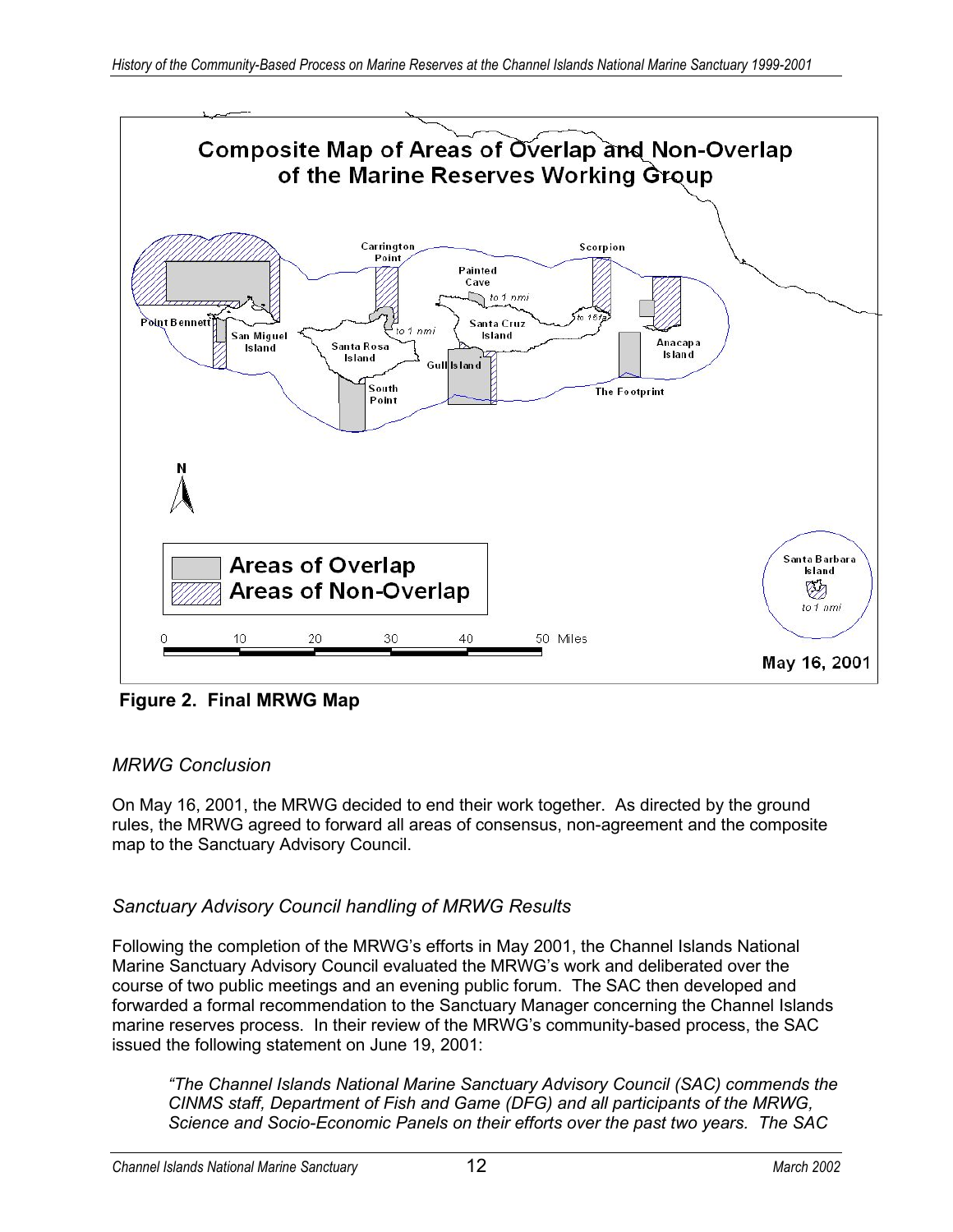

**Figure 2. Final MRWG Map**

## *MRWG Conclusion*

On May 16, 2001, the MRWG decided to end their work together. As directed by the ground rules, the MRWG agreed to forward all areas of consensus, non-agreement and the composite map to the Sanctuary Advisory Council.

## *Sanctuary Advisory Council handling of MRWG Results*

Following the completion of the MRWG's efforts in May 2001, the Channel Islands National Marine Sanctuary Advisory Council evaluated the MRWG's work and deliberated over the course of two public meetings and an evening public forum. The SAC then developed and forwarded a formal recommendation to the Sanctuary Manager concerning the Channel Islands marine reserves process. In their review of the MRWG's community-based process, the SAC issued the following statement on June 19, 2001:

*"The Channel Islands National Marine Sanctuary Advisory Council (SAC) commends the CINMS staff, Department of Fish and Game (DFG) and all participants of the MRWG, Science and Socio-Economic Panels on their efforts over the past two years. The SAC*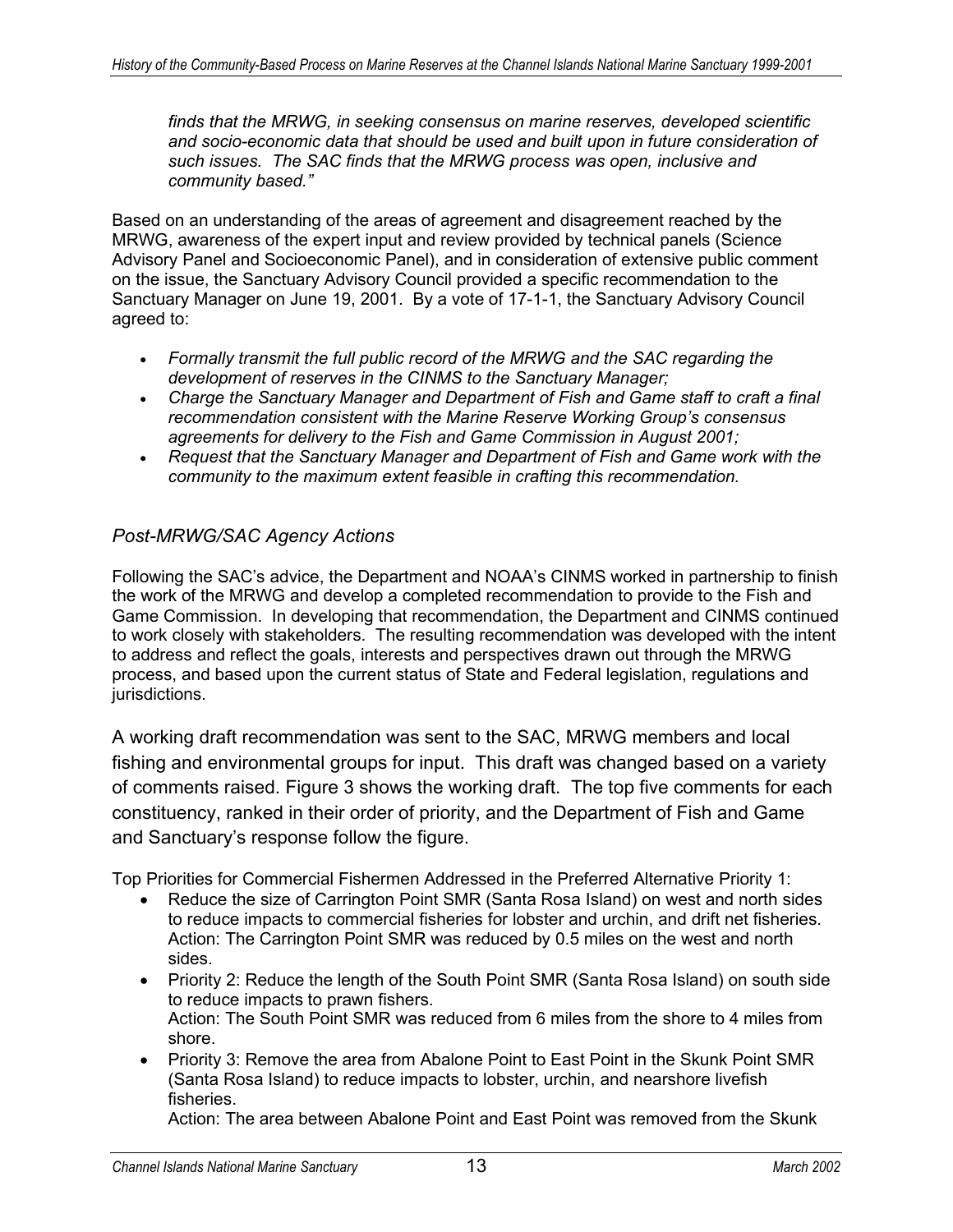*finds that the MRWG, in seeking consensus on marine reserves, developed scientific and socio-economic data that should be used and built upon in future consideration of such issues. The SAC finds that the MRWG process was open, inclusive and community based."* 

Based on an understanding of the areas of agreement and disagreement reached by the MRWG, awareness of the expert input and review provided by technical panels (Science Advisory Panel and Socioeconomic Panel), and in consideration of extensive public comment on the issue, the Sanctuary Advisory Council provided a specific recommendation to the Sanctuary Manager on June 19, 2001. By a vote of 17-1-1, the Sanctuary Advisory Council agreed to:

- *Formally transmit the full public record of the MRWG and the SAC regarding the development of reserves in the CINMS to the Sanctuary Manager;*
- *Charge the Sanctuary Manager and Department of Fish and Game staff to craft a final recommendation consistent with the Marine Reserve Working Group's consensus agreements for delivery to the Fish and Game Commission in August 2001;*
- *Request that the Sanctuary Manager and Department of Fish and Game work with the community to the maximum extent feasible in crafting this recommendation.*

### *Post-MRWG/SAC Agency Actions*

Following the SAC's advice, the Department and NOAA's CINMS worked in partnership to finish the work of the MRWG and develop a completed recommendation to provide to the Fish and Game Commission. In developing that recommendation, the Department and CINMS continued to work closely with stakeholders. The resulting recommendation was developed with the intent to address and reflect the goals, interests and perspectives drawn out through the MRWG process, and based upon the current status of State and Federal legislation, regulations and jurisdictions.

A working draft recommendation was sent to the SAC, MRWG members and local fishing and environmental groups for input. This draft was changed based on a variety of comments raised. Figure 3 shows the working draft. The top five comments for each constituency, ranked in their order of priority, and the Department of Fish and Game and Sanctuary's response follow the figure.

Top Priorities for Commercial Fishermen Addressed in the Preferred Alternative Priority 1:

- Reduce the size of Carrington Point SMR (Santa Rosa Island) on west and north sides to reduce impacts to commercial fisheries for lobster and urchin, and drift net fisheries. Action: The Carrington Point SMR was reduced by 0.5 miles on the west and north sides.
- Priority 2: Reduce the length of the South Point SMR (Santa Rosa Island) on south side to reduce impacts to prawn fishers. Action: The South Point SMR was reduced from 6 miles from the shore to 4 miles from shore.
- Priority 3: Remove the area from Abalone Point to East Point in the Skunk Point SMR (Santa Rosa Island) to reduce impacts to lobster, urchin, and nearshore livefish fisheries.

Action: The area between Abalone Point and East Point was removed from the Skunk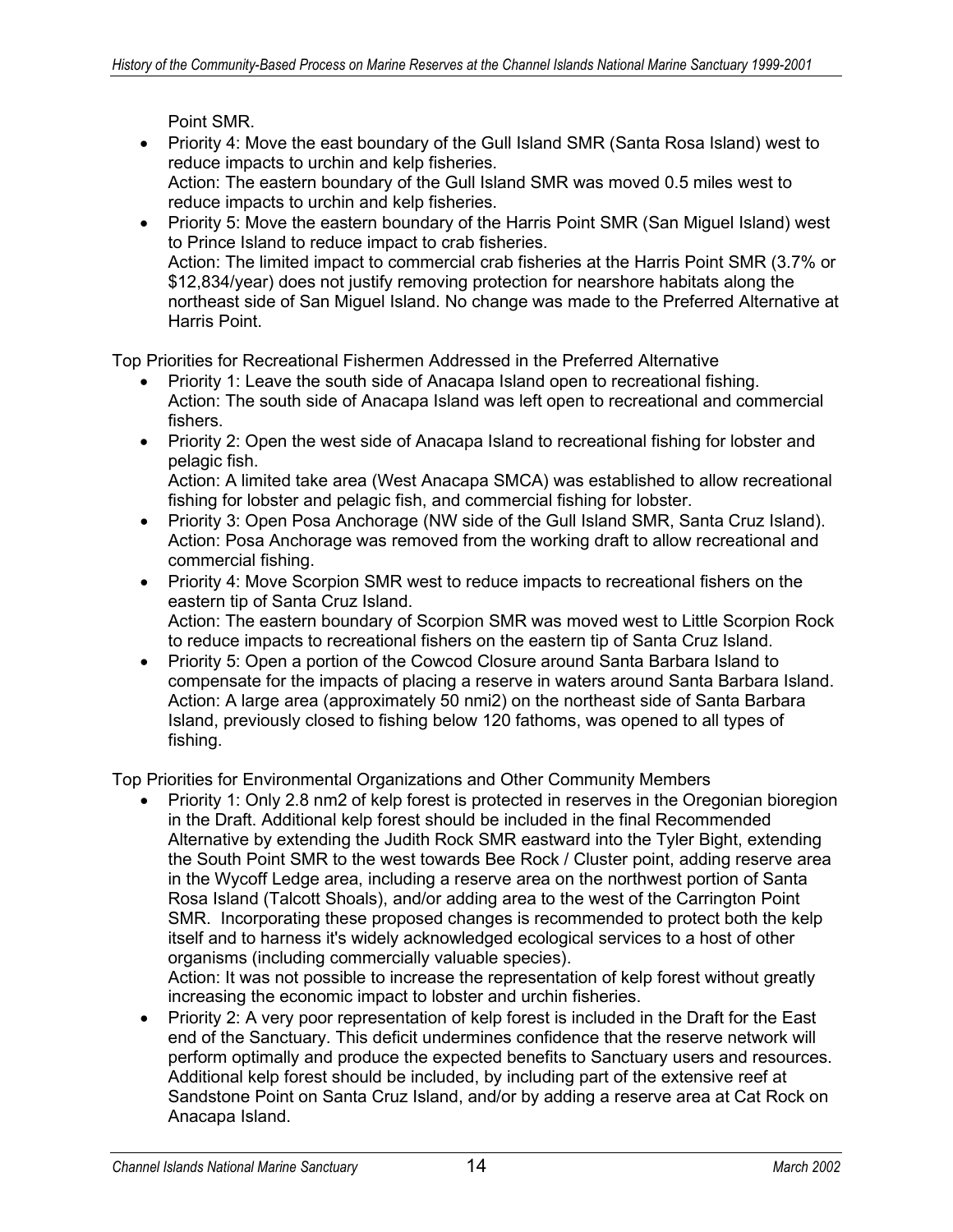Point SMR.

- Priority 4: Move the east boundary of the Gull Island SMR (Santa Rosa Island) west to reduce impacts to urchin and kelp fisheries. Action: The eastern boundary of the Gull Island SMR was moved 0.5 miles west to reduce impacts to urchin and kelp fisheries.
- Priority 5: Move the eastern boundary of the Harris Point SMR (San Miguel Island) west to Prince Island to reduce impact to crab fisheries. Action: The limited impact to commercial crab fisheries at the Harris Point SMR (3.7% or \$12,834/year) does not justify removing protection for nearshore habitats along the northeast side of San Miguel Island. No change was made to the Preferred Alternative at Harris Point.

Top Priorities for Recreational Fishermen Addressed in the Preferred Alternative

- Priority 1: Leave the south side of Anacapa Island open to recreational fishing. Action: The south side of Anacapa Island was left open to recreational and commercial fishers.
- Priority 2: Open the west side of Anacapa Island to recreational fishing for lobster and pelagic fish.

Action: A limited take area (West Anacapa SMCA) was established to allow recreational fishing for lobster and pelagic fish, and commercial fishing for lobster.

- Priority 3: Open Posa Anchorage (NW side of the Gull Island SMR, Santa Cruz Island). Action: Posa Anchorage was removed from the working draft to allow recreational and commercial fishing.
- Priority 4: Move Scorpion SMR west to reduce impacts to recreational fishers on the eastern tip of Santa Cruz Island. Action: The eastern boundary of Scorpion SMR was moved west to Little Scorpion Rock to reduce impacts to recreational fishers on the eastern tip of Santa Cruz Island.
- Priority 5: Open a portion of the Cowcod Closure around Santa Barbara Island to compensate for the impacts of placing a reserve in waters around Santa Barbara Island. Action: A large area (approximately 50 nmi2) on the northeast side of Santa Barbara Island, previously closed to fishing below 120 fathoms, was opened to all types of fishing.

Top Priorities for Environmental Organizations and Other Community Members

• Priority 1: Only 2.8 nm2 of kelp forest is protected in reserves in the Oregonian bioregion in the Draft. Additional kelp forest should be included in the final Recommended Alternative by extending the Judith Rock SMR eastward into the Tyler Bight, extending the South Point SMR to the west towards Bee Rock / Cluster point, adding reserve area in the Wycoff Ledge area, including a reserve area on the northwest portion of Santa Rosa Island (Talcott Shoals), and/or adding area to the west of the Carrington Point SMR. Incorporating these proposed changes is recommended to protect both the kelp itself and to harness it's widely acknowledged ecological services to a host of other organisms (including commercially valuable species). Action: It was not possible to increase the representation of kelp forest without greatly

increasing the economic impact to lobster and urchin fisheries.

• Priority 2: A very poor representation of kelp forest is included in the Draft for the East end of the Sanctuary. This deficit undermines confidence that the reserve network will perform optimally and produce the expected benefits to Sanctuary users and resources. Additional kelp forest should be included, by including part of the extensive reef at Sandstone Point on Santa Cruz Island, and/or by adding a reserve area at Cat Rock on Anacapa Island.